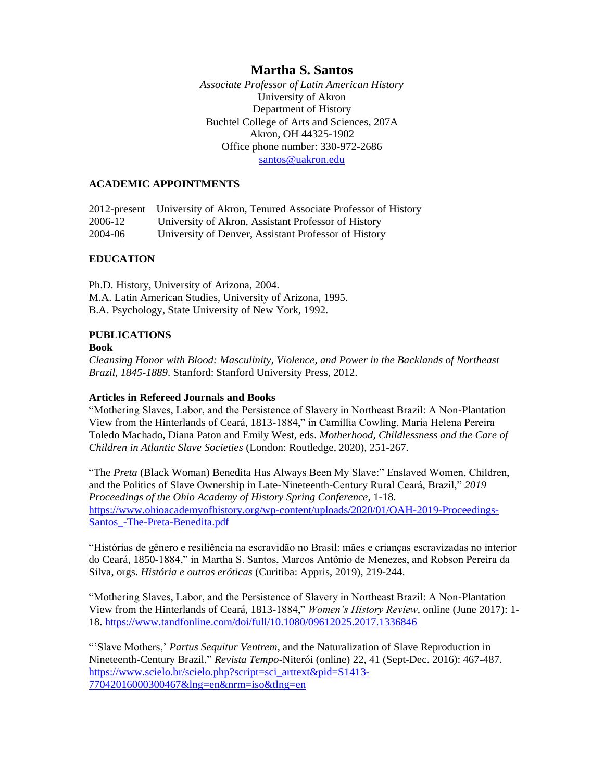*Associate Professor of Latin American History* University of Akron Department of History Buchtel College of Arts and Sciences, 207A Akron, OH 44325-1902 Office phone number: 330-972-2686 [santos@uakron.edu](mailto:santos@uakron.edu)

# **ACADEMIC APPOINTMENTS**

2012-present University of Akron, Tenured Associate Professor of History 2006-12 University of Akron, Assistant Professor of History 2004-06 University of Denver, Assistant Professor of History

## **EDUCATION**

Ph.D. History, University of Arizona, 2004. M.A. Latin American Studies, University of Arizona, 1995. B.A. Psychology, State University of New York, 1992.

## **PUBLICATIONS**

#### **Book**

*Cleansing Honor with Blood: Masculinity, Violence, and Power in the Backlands of Northeast Brazil, 1845-1889*. Stanford: Stanford University Press, 2012.

### **Articles in Refereed Journals and Books**

"Mothering Slaves, Labor, and the Persistence of Slavery in Northeast Brazil: A Non-Plantation View from the Hinterlands of Ceará, 1813-1884," in Camillia Cowling, Maria Helena Pereira Toledo Machado, Diana Paton and Emily West, eds. *Motherhood, Childlessness and the Care of Children in Atlantic Slave Societies* (London: Routledge, 2020), 251-267.

"The *Preta* (Black Woman) Benedita Has Always Been My Slave:" Enslaved Women, Children, and the Politics of Slave Ownership in Late-Nineteenth-Century Rural Ceará, Brazil," *2019 Proceedings of the Ohio Academy of History Spring Conference*, 1-18. [https://www.ohioacademyofhistory.org/wp-content/uploads/2020/01/OAH-2019-Proceedings-](https://www.ohioacademyofhistory.org/wp-content/uploads/2020/01/OAH-2019-Proceedings-Santos_-The-Preta-Benedita.pdf)[Santos\\_-The-Preta-Benedita.pdf](https://www.ohioacademyofhistory.org/wp-content/uploads/2020/01/OAH-2019-Proceedings-Santos_-The-Preta-Benedita.pdf)

"Histórias de gênero e resiliência na escravidão no Brasil: mães e crianças escravizadas no interior do Ceará, 1850-1884," in Martha S. Santos, Marcos Antônio de Menezes, and Robson Pereira da Silva, orgs. *História e outras eróticas* (Curitiba: Appris, 2019), 219-244.

"Mothering Slaves, Labor, and the Persistence of Slavery in Northeast Brazil: A Non-Plantation View from the Hinterlands of Ceará, 1813-1884," *Women's History Review*, online (June 2017): 1- 18. <https://www.tandfonline.com/doi/full/10.1080/09612025.2017.1336846>

"'Slave Mothers,' *Partus Sequitur Ventrem*, and the Naturalization of Slave Reproduction in Nineteenth-Century Brazil," *Revista Tempo*-Niterói (online) 22, 41 (Sept-Dec. 2016): 467-487. [https://www.scielo.br/scielo.php?script=sci\\_arttext&pid=S1413-](https://www.scielo.br/scielo.php?script=sci_arttext&pid=S1413-77042016000300467&lng=en&nrm=iso&tlng=en) [77042016000300467&lng=en&nrm=iso&tlng=en](https://www.scielo.br/scielo.php?script=sci_arttext&pid=S1413-77042016000300467&lng=en&nrm=iso&tlng=en)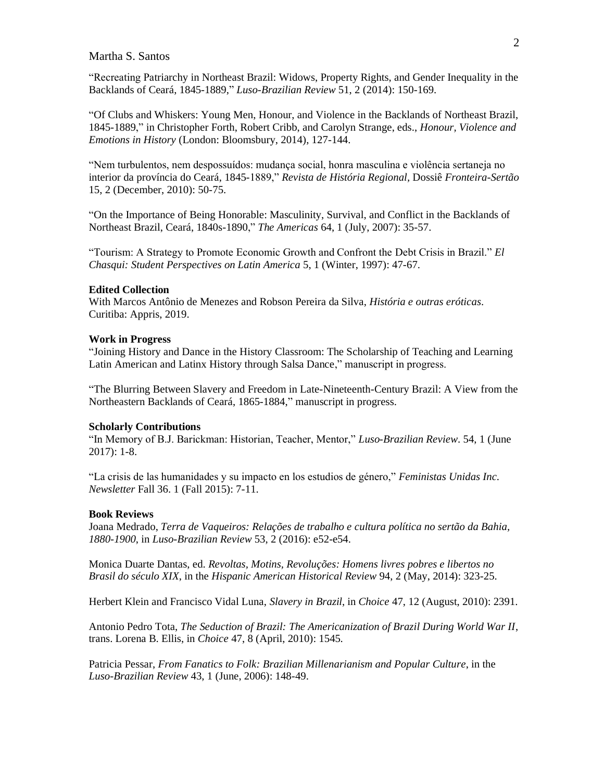"Recreating Patriarchy in Northeast Brazil: Widows, Property Rights, and Gender Inequality in the Backlands of Ceará, 1845-1889," *Luso-Brazilian Review* 51, 2 (2014): 150-169.

"Of Clubs and Whiskers: Young Men, Honour, and Violence in the Backlands of Northeast Brazil, 1845-1889," in Christopher Forth, Robert Cribb, and Carolyn Strange, eds., *Honour, Violence and Emotions in History* (London: Bloomsbury, 2014), 127-144.

"Nem turbulentos, nem despossuídos: mudança social, honra masculina e violência sertaneja no interior da província do Ceará, 1845-1889," *Revista de História Regional,* Dossiê *Fronteira-Sertão* 15, 2 (December, 2010): 50-75.

"On the Importance of Being Honorable: Masculinity, Survival, and Conflict in the Backlands of Northeast Brazil, Ceará, 1840s-1890," *The Americas* 64, 1 (July, 2007): 35-57.

"Tourism: A Strategy to Promote Economic Growth and Confront the Debt Crisis in Brazil." *El Chasqui: Student Perspectives on Latin America* 5, 1 (Winter, 1997): 47-67.

#### **Edited Collection**

With Marcos Antônio de Menezes and Robson Pereira da Silva, *História e outras eróticas*. Curitiba: Appris, 2019.

#### **Work in Progress**

"Joining History and Dance in the History Classroom: The Scholarship of Teaching and Learning Latin American and Latinx History through Salsa Dance," manuscript in progress.

"The Blurring Between Slavery and Freedom in Late-Nineteenth-Century Brazil: A View from the Northeastern Backlands of Ceará, 1865-1884," manuscript in progress.

#### **Scholarly Contributions**

"In Memory of B.J. Barickman: Historian, Teacher, Mentor," *Luso-Brazilian Review*. 54, 1 (June 2017): 1-8.

"La crisis de las humanidades y su impacto en los estudios de género," *Feministas Unidas Inc. Newsletter* Fall 36. 1 (Fall 2015): 7-11.

#### **Book Reviews**

Joana Medrado, *Terra de Vaqueiros: Relações de trabalho e cultura política no sertão da Bahia, 1880-1900*, in *Luso-Brazilian Review* 53, 2 (2016): e52-e54.

Monica Duarte Dantas, ed. *Revoltas, Motins, Revoluções: Homens livres pobres e libertos no Brasil do século XIX*, in the *Hispanic American Historical Review* 94, 2 (May, 2014): 323-25.

Herbert Klein and Francisco Vidal Luna, *Slavery in Brazil*, in *Choice* 47, 12 (August, 2010): 2391.

Antonio Pedro Tota, *The Seduction of Brazil: The Americanization of Brazil During World War II*, trans. Lorena B. Ellis, in *Choice* 47, 8 (April, 2010): 1545.

Patricia Pessar, *From Fanatics to Folk: Brazilian Millenarianism and Popular Culture*, in the *Luso-Brazilian Review* 43, 1 (June, 2006): 148-49.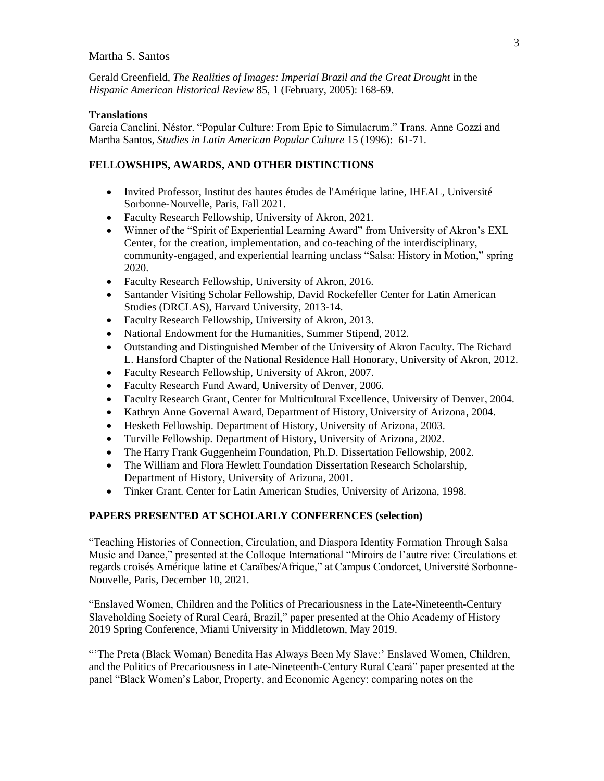Gerald Greenfield, *The Realities of Images: Imperial Brazil and the Great Drought* in the *Hispanic American Historical Review* 85, 1 (February, 2005): 168-69.

### **Translations**

García Canclini, Néstor. "Popular Culture: From Epic to Simulacrum." Trans. Anne Gozzi and Martha Santos, *Studies in Latin American Popular Culture* 15 (1996): 61-71.

# **FELLOWSHIPS, AWARDS, AND OTHER DISTINCTIONS**

- Invited Professor, Institut des hautes études de l'Amérique latine, IHEAL, Université Sorbonne-Nouvelle, Paris, Fall 2021.
- Faculty Research Fellowship, University of Akron, 2021.
- Winner of the "Spirit of Experiential Learning Award" from University of Akron's EXL Center, for the creation, implementation, and co-teaching of the interdisciplinary, community-engaged, and experiential learning unclass "Salsa: History in Motion," spring 2020.
- Faculty Research Fellowship, University of Akron, 2016.
- Santander Visiting Scholar Fellowship, David Rockefeller Center for Latin American Studies (DRCLAS), Harvard University, 2013-14.
- Faculty Research Fellowship, University of Akron, 2013.
- National Endowment for the Humanities, Summer Stipend, 2012.
- Outstanding and Distinguished Member of the University of Akron Faculty. The Richard L. Hansford Chapter of the National Residence Hall Honorary, University of Akron, 2012.
- Faculty Research Fellowship, University of Akron, 2007.
- Faculty Research Fund Award, University of Denver, 2006.
- Faculty Research Grant, Center for Multicultural Excellence, University of Denver, 2004.
- Kathryn Anne Governal Award, Department of History, University of Arizona, 2004.
- Hesketh Fellowship. Department of History, University of Arizona, 2003.
- Turville Fellowship. Department of History, University of Arizona, 2002.
- The Harry Frank Guggenheim Foundation, Ph.D. Dissertation Fellowship, 2002.
- The William and Flora Hewlett Foundation Dissertation Research Scholarship, Department of History, University of Arizona, 2001.
- Tinker Grant. Center for Latin American Studies, University of Arizona, 1998.

# **PAPERS PRESENTED AT SCHOLARLY CONFERENCES (selection)**

"Teaching Histories of Connection, Circulation, and Diaspora Identity Formation Through Salsa Music and Dance," presented at the Colloque International "Miroirs de l'autre rive: Circulations et regards croisés Amérique latine et Caraïbes/Afrique," at Campus Condorcet, Université Sorbonne-Nouvelle, Paris, December 10, 2021.

"Enslaved Women, Children and the Politics of Precariousness in the Late-Nineteenth-Century Slaveholding Society of Rural Ceará, Brazil," paper presented at the Ohio Academy of History 2019 Spring Conference, Miami University in Middletown, May 2019.

"'The Preta (Black Woman) Benedita Has Always Been My Slave:' Enslaved Women, Children, and the Politics of Precariousness in Late-Nineteenth-Century Rural Ceará" paper presented at the panel "Black Women's Labor, Property, and Economic Agency: comparing notes on the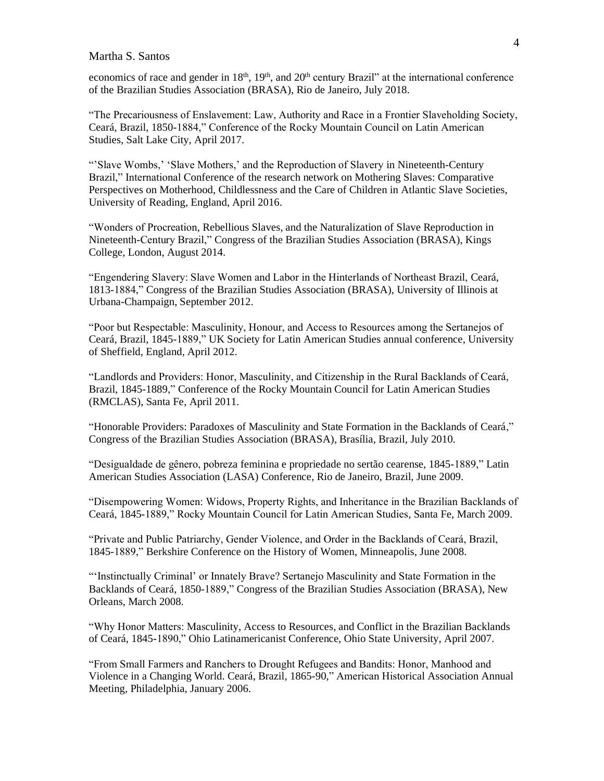economics of race and gender in 18<sup>th</sup>, 19<sup>th</sup>, and 20<sup>th</sup> century Brazil" at the international conference of the Brazilian Studies Association (BRASA), Rio de Janeiro, July 2018.

"The Precariousness of Enslavement: Law, Authority and Race in a Frontier Slaveholding Society, Ceará, Brazil, 1850-1884," Conference of the Rocky Mountain Council on Latin American Studies, Salt Lake City, April 2017.

"'Slave Wombs,' 'Slave Mothers,' and the Reproduction of Slavery in Nineteenth-Century Brazil," International Conference of the research network on Mothering Slaves: Comparative Perspectives on Motherhood, Childlessness and the Care of Children in Atlantic Slave Societies, University of Reading, England, April 2016.

"Wonders of Procreation, Rebellious Slaves, and the Naturalization of Slave Reproduction in Nineteenth-Century Brazil," Congress of the Brazilian Studies Association (BRASA), Kings College, London, August 2014.

"Engendering Slavery: Slave Women and Labor in the Hinterlands of Northeast Brazil, Ceará, 1813-1884," Congress of the Brazilian Studies Association (BRASA), University of Illinois at Urbana-Champaign, September 2012.

"Poor but Respectable: Masculinity, Honour, and Access to Resources among the Sertanejos of Ceará, Brazil, 1845-1889," UK Society for Latin American Studies annual conference, University of Sheffield, England, April 2012.

"Landlords and Providers: Honor, Masculinity, and Citizenship in the Rural Backlands of Ceará, Brazil, 1845-1889," Conference of the Rocky Mountain Council for Latin American Studies (RMCLAS), Santa Fe, April 2011.

"Honorable Providers: Paradoxes of Masculinity and State Formation in the Backlands of Ceará," Congress of the Brazilian Studies Association (BRASA), Brasília, Brazil, July 2010.

"Desigualdade de gênero, pobreza feminina e propriedade no sertão cearense, 1845-1889," Latin American Studies Association (LASA) Conference, Rio de Janeiro, Brazil, June 2009.

"Disempowering Women: Widows, Property Rights, and Inheritance in the Brazilian Backlands of Ceará, 1845-1889," Rocky Mountain Council for Latin American Studies, Santa Fe, March 2009.

"Private and Public Patriarchy, Gender Violence, and Order in the Backlands of Ceará, Brazil, 1845-1889," Berkshire Conference on the History of Women, Minneapolis, June 2008.

"'Instinctually Criminal' or Innately Brave? Sertanejo Masculinity and State Formation in the Backlands of Ceará, 1850-1889," Congress of the Brazilian Studies Association (BRASA), New Orleans, March 2008.

"Why Honor Matters: Masculinity, Access to Resources, and Conflict in the Brazilian Backlands of Ceará, 1845-1890," Ohio Latinamericanist Conference, Ohio State University, April 2007.

"From Small Farmers and Ranchers to Drought Refugees and Bandits: Honor, Manhood and Violence in a Changing World. Ceará, Brazil, 1865-90," American Historical Association Annual Meeting, Philadelphia, January 2006.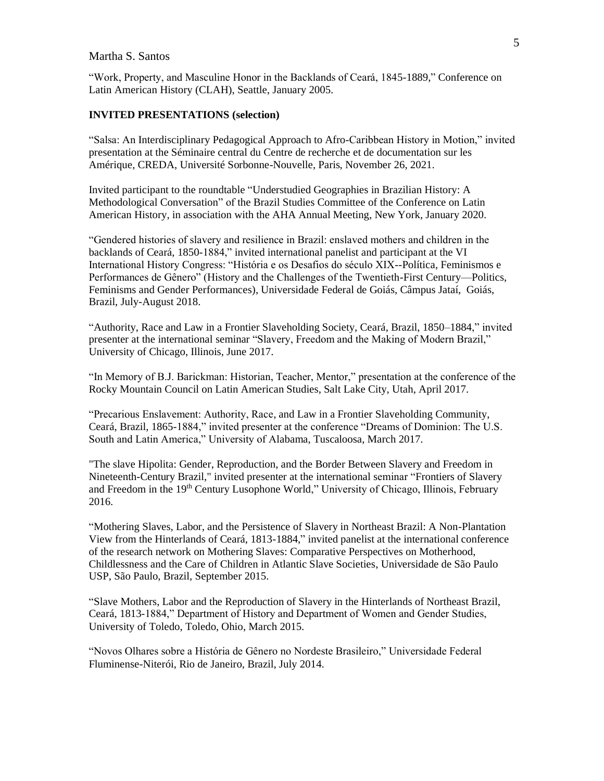"Work, Property, and Masculine Honor in the Backlands of Ceará, 1845-1889," Conference on Latin American History (CLAH), Seattle, January 2005.

#### **INVITED PRESENTATIONS (selection)**

"Salsa: An Interdisciplinary Pedagogical Approach to Afro-Caribbean History in Motion," invited presentation at the Séminaire central du Centre de recherche et de documentation sur les Amérique, CREDA, Université Sorbonne-Nouvelle, Paris, November 26, 2021.

Invited participant to the roundtable "Understudied Geographies in Brazilian History: A Methodological Conversation" of the Brazil Studies Committee of the Conference on Latin American History, in association with the AHA Annual Meeting, New York, January 2020.

"Gendered histories of slavery and resilience in Brazil: enslaved mothers and children in the backlands of Ceará, 1850-1884," invited international panelist and participant at the VI International History Congress: "História e os Desafios do século XIX--Política, Feminismos e Performances de Gênero" (History and the Challenges of the Twentieth-First Century—Politics, Feminisms and Gender Performances), Universidade Federal de Goiás, Câmpus Jataí, Goiás, Brazil, July-August 2018.

"Authority, Race and Law in a Frontier Slaveholding Society, Ceará, Brazil, 1850–1884," invited presenter at the international seminar "Slavery, Freedom and the Making of Modern Brazil," University of Chicago, Illinois, June 2017.

"In Memory of B.J. Barickman: Historian, Teacher, Mentor," presentation at the conference of the Rocky Mountain Council on Latin American Studies, Salt Lake City, Utah, April 2017.

"Precarious Enslavement: Authority, Race, and Law in a Frontier Slaveholding Community, Ceará, Brazil, 1865-1884," invited presenter at the conference "Dreams of Dominion: The U.S. South and Latin America," University of Alabama, Tuscaloosa, March 2017.

"The slave Hipolita: Gender, Reproduction, and the Border Between Slavery and Freedom in Nineteenth-Century Brazil," invited presenter at the international seminar "Frontiers of Slavery and Freedom in the 19<sup>th</sup> Century Lusophone World," University of Chicago, Illinois, February 2016.

"Mothering Slaves, Labor, and the Persistence of Slavery in Northeast Brazil: A Non-Plantation View from the Hinterlands of Ceará, 1813-1884," invited panelist at the international conference of the research network on Mothering Slaves: Comparative Perspectives on Motherhood, Childlessness and the Care of Children in Atlantic Slave Societies, Universidade de São Paulo USP, São Paulo, Brazil, September 2015.

"Slave Mothers, Labor and the Reproduction of Slavery in the Hinterlands of Northeast Brazil, Ceará, 1813-1884," Department of History and Department of Women and Gender Studies, University of Toledo, Toledo, Ohio, March 2015.

"Novos Olhares sobre a História de Gênero no Nordeste Brasileiro," Universidade Federal Fluminense-Niterói, Rio de Janeiro, Brazil, July 2014.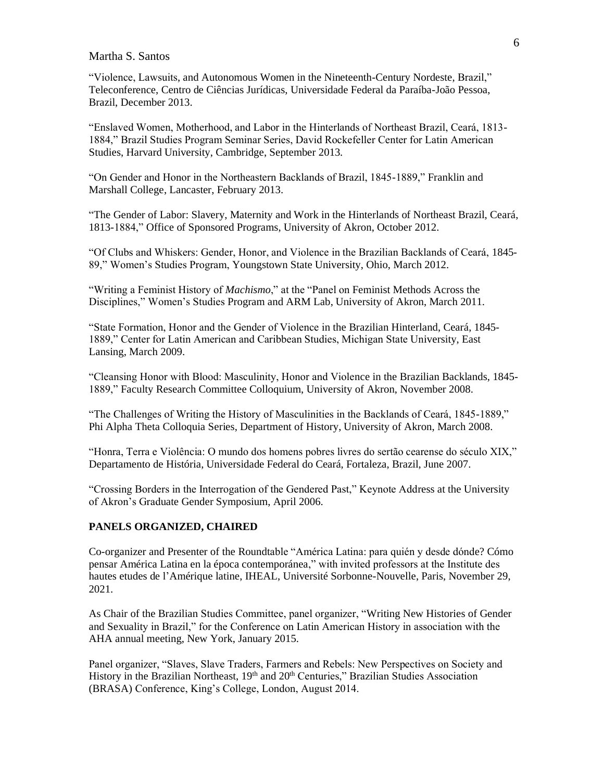"Violence, Lawsuits, and Autonomous Women in the Nineteenth-Century Nordeste, Brazil," Teleconference, Centro de Ciências Jurídicas, Universidade Federal da Paraíba-João Pessoa, Brazil, December 2013.

"Enslaved Women, Motherhood, and Labor in the Hinterlands of Northeast Brazil, Ceará, 1813- 1884," Brazil Studies Program Seminar Series, David Rockefeller Center for Latin American Studies, Harvard University, Cambridge, September 2013.

"On Gender and Honor in the Northeastern Backlands of Brazil, 1845-1889," Franklin and Marshall College, Lancaster, February 2013.

"The Gender of Labor: Slavery, Maternity and Work in the Hinterlands of Northeast Brazil, Ceará, 1813-1884," Office of Sponsored Programs, University of Akron, October 2012.

"Of Clubs and Whiskers: Gender, Honor, and Violence in the Brazilian Backlands of Ceará, 1845- 89," Women's Studies Program, Youngstown State University, Ohio, March 2012.

"Writing a Feminist History of *Machismo*," at the "Panel on Feminist Methods Across the Disciplines," Women's Studies Program and ARM Lab, University of Akron, March 2011.

"State Formation, Honor and the Gender of Violence in the Brazilian Hinterland, Ceará, 1845- 1889," Center for Latin American and Caribbean Studies, Michigan State University, East Lansing, March 2009.

"Cleansing Honor with Blood: Masculinity, Honor and Violence in the Brazilian Backlands, 1845- 1889," Faculty Research Committee Colloquium, University of Akron, November 2008.

"The Challenges of Writing the History of Masculinities in the Backlands of Ceará, 1845-1889," Phi Alpha Theta Colloquia Series, Department of History, University of Akron, March 2008.

"Honra, Terra e Violência: O mundo dos homens pobres livres do sertão cearense do século XIX," Departamento de História, Universidade Federal do Ceará, Fortaleza, Brazil, June 2007.

"Crossing Borders in the Interrogation of the Gendered Past," Keynote Address at the University of Akron's Graduate Gender Symposium, April 2006.

### **PANELS ORGANIZED, CHAIRED**

Co-organizer and Presenter of the Roundtable "América Latina: para quién y desde dónde? Cómo pensar América Latina en la época contemporánea," with invited professors at the Institute des hautes etudes de l'Amérique latine, IHEAL, Université Sorbonne-Nouvelle, Paris, November 29, 2021.

As Chair of the Brazilian Studies Committee, panel organizer, "Writing New Histories of Gender and Sexuality in Brazil," for the Conference on Latin American History in association with the AHA annual meeting, New York, January 2015.

Panel organizer, "Slaves, Slave Traders, Farmers and Rebels: New Perspectives on Society and History in the Brazilian Northeast, 19<sup>th</sup> and 20<sup>th</sup> Centuries," Brazilian Studies Association (BRASA) Conference, King's College, London, August 2014.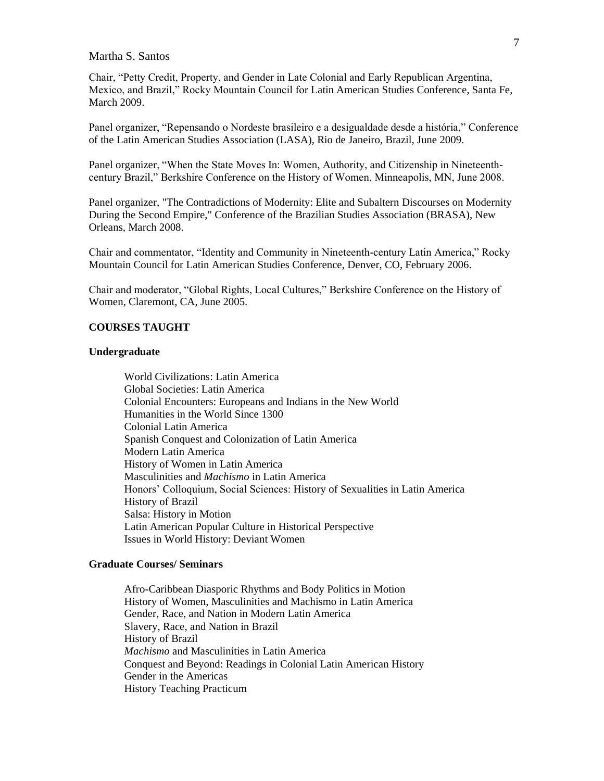Chair, "Petty Credit, Property, and Gender in Late Colonial and Early Republican Argentina, Mexico, and Brazil," Rocky Mountain Council for Latin American Studies Conference, Santa Fe, March 2009.

Panel organizer, "Repensando o Nordeste brasileiro e a desigualdade desde a história," Conference of the Latin American Studies Association (LASA), Rio de Janeiro, Brazil, June 2009.

Panel organizer, "When the State Moves In: Women, Authority, and Citizenship in Nineteenthcentury Brazil," Berkshire Conference on the History of Women, Minneapolis, MN, June 2008.

Panel organizer, "The Contradictions of Modernity: Elite and Subaltern Discourses on Modernity During the Second Empire," Conference of the Brazilian Studies Association (BRASA), New Orleans, March 2008.

Chair and commentator, "Identity and Community in Nineteenth-century Latin America," Rocky Mountain Council for Latin American Studies Conference, Denver, CO, February 2006.

Chair and moderator, "Global Rights, Local Cultures," Berkshire Conference on the History of Women, Claremont, CA, June 2005.

## **COURSES TAUGHT**

### **Undergraduate**

World Civilizations: Latin America Global Societies: Latin America Colonial Encounters: Europeans and Indians in the New World Humanities in the World Since 1300 Colonial Latin America Spanish Conquest and Colonization of Latin America Modern Latin America History of Women in Latin America Masculinities and *Machismo* in Latin America Honors' Colloquium, Social Sciences: History of Sexualities in Latin America History of Brazil Salsa: History in Motion Latin American Popular Culture in Historical Perspective Issues in World History: Deviant Women

## **Graduate Courses/ Seminars**

Afro-Caribbean Diasporic Rhythms and Body Politics in Motion History of Women, Masculinities and Machismo in Latin America Gender, Race, and Nation in Modern Latin America Slavery, Race, and Nation in Brazil History of Brazil *Machismo* and Masculinities in Latin America Conquest and Beyond: Readings in Colonial Latin American History Gender in the Americas History Teaching Practicum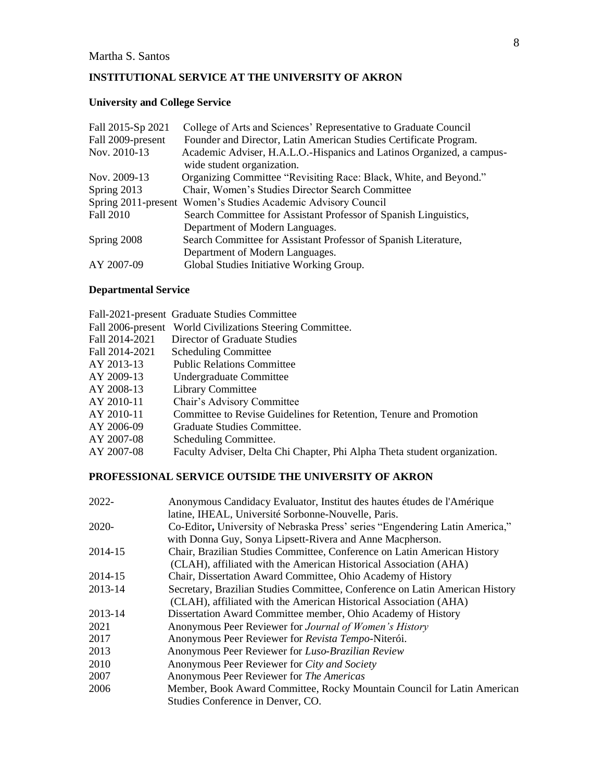# **INSTITUTIONAL SERVICE AT THE UNIVERSITY OF AKRON**

## **University and College Service**

| Fall 2015-Sp 2021 | College of Arts and Sciences' Representative to Graduate Council      |
|-------------------|-----------------------------------------------------------------------|
| Fall 2009-present | Founder and Director, Latin American Studies Certificate Program.     |
| Nov. 2010-13      | Academic Adviser, H.A.L.O.-Hispanics and Latinos Organized, a campus- |
|                   | wide student organization.                                            |
| Nov. 2009-13      | Organizing Committee "Revisiting Race: Black, White, and Beyond."     |
| Spring 2013       | Chair, Women's Studies Director Search Committee                      |
|                   | Spring 2011-present Women's Studies Academic Advisory Council         |
| <b>Fall 2010</b>  | Search Committee for Assistant Professor of Spanish Linguistics,      |
|                   | Department of Modern Languages.                                       |
| Spring 2008       | Search Committee for Assistant Professor of Spanish Literature,       |
|                   | Department of Modern Languages.                                       |
| AY 2007-09        | Global Studies Initiative Working Group.                              |
|                   |                                                                       |

# **Departmental Service**

|                | Fall-2021-present Graduate Studies Committee                              |
|----------------|---------------------------------------------------------------------------|
|                | Fall 2006-present World Civilizations Steering Committee.                 |
| Fall 2014-2021 | Director of Graduate Studies                                              |
| Fall 2014-2021 | <b>Scheduling Committee</b>                                               |
| AY 2013-13     | <b>Public Relations Committee</b>                                         |
| AY 2009-13     | Undergraduate Committee                                                   |
| AY 2008-13     | Library Committee                                                         |
| AY 2010-11     | Chair's Advisory Committee                                                |
| AY 2010-11     | Committee to Revise Guidelines for Retention, Tenure and Promotion        |
| AY 2006-09     | Graduate Studies Committee.                                               |
| AY 2007-08     | Scheduling Committee.                                                     |
| AY 2007-08     | Faculty Adviser, Delta Chi Chapter, Phi Alpha Theta student organization. |

# **PROFESSIONAL SERVICE OUTSIDE THE UNIVERSITY OF AKRON**

| 2022-   | Anonymous Candidacy Evaluator, Institut des hautes études de l'Amérique      |
|---------|------------------------------------------------------------------------------|
|         | latine, IHEAL, Université Sorbonne-Nouvelle, Paris.                          |
| 2020-   | Co-Editor, University of Nebraska Press' series "Engendering Latin America," |
|         | with Donna Guy, Sonya Lipsett-Rivera and Anne Macpherson.                    |
| 2014-15 | Chair, Brazilian Studies Committee, Conference on Latin American History     |
|         | (CLAH), affiliated with the American Historical Association (AHA)            |
| 2014-15 | Chair, Dissertation Award Committee, Ohio Academy of History                 |
| 2013-14 | Secretary, Brazilian Studies Committee, Conference on Latin American History |
|         | (CLAH), affiliated with the American Historical Association (AHA)            |
| 2013-14 | Dissertation Award Committee member, Ohio Academy of History                 |
| 2021    | Anonymous Peer Reviewer for <i>Journal of Women's History</i>                |
| 2017    | Anonymous Peer Reviewer for Revista Tempo-Niterói.                           |
| 2013    | Anonymous Peer Reviewer for Luso-Brazilian Review                            |
| 2010    | Anonymous Peer Reviewer for City and Society                                 |
| 2007    | Anonymous Peer Reviewer for The Americas                                     |
| 2006    | Member, Book Award Committee, Rocky Mountain Council for Latin American      |
|         | Studies Conference in Denver, CO.                                            |
|         |                                                                              |